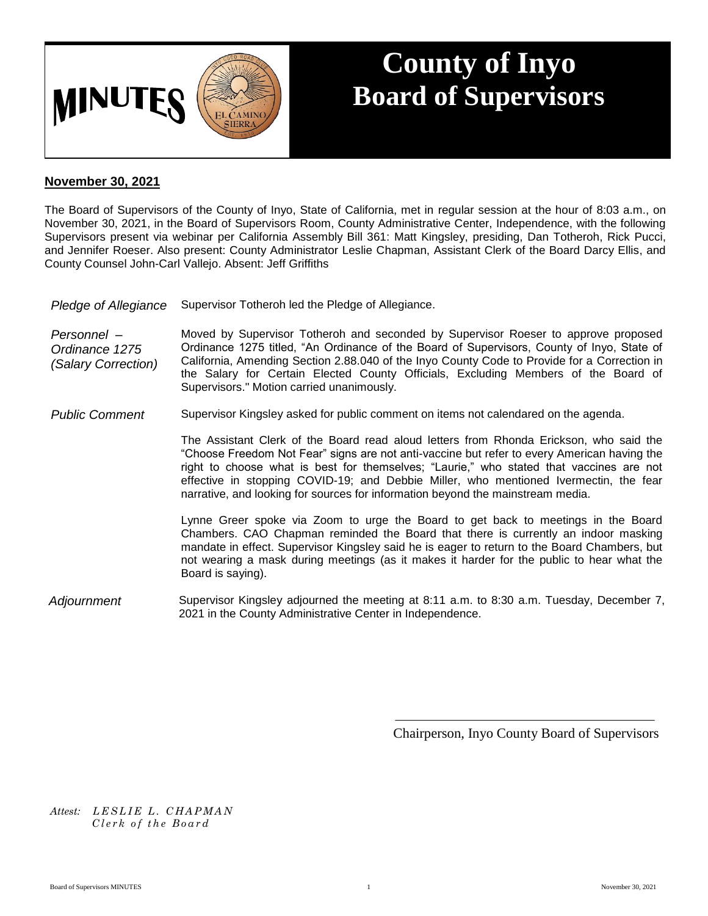

## **County of Inyo Board of Supervisors**

## **November 30, 2021**

The Board of Supervisors of the County of Inyo, State of California, met in regular session at the hour of 8:03 a.m., on November 30, 2021, in the Board of Supervisors Room, County Administrative Center, Independence, with the following Supervisors present via webinar per California Assembly Bill 361: Matt Kingsley, presiding, Dan Totheroh, Rick Pucci, and Jennifer Roeser. Also present: County Administrator Leslie Chapman, Assistant Clerk of the Board Darcy Ellis, and County Counsel John-Carl Vallejo. Absent: Jeff Griffiths

| Pledge of Allegiance                                 | Supervisor Totheroh led the Pledge of Allegiance.                                                                                                                                                                                                                                                                                                                                                                   |
|------------------------------------------------------|---------------------------------------------------------------------------------------------------------------------------------------------------------------------------------------------------------------------------------------------------------------------------------------------------------------------------------------------------------------------------------------------------------------------|
| Personnel –<br>Ordinance 1275<br>(Salary Correction) | Moved by Supervisor Totheroh and seconded by Supervisor Roeser to approve proposed<br>Ordinance 1275 titled, "An Ordinance of the Board of Supervisors, County of Inyo, State of<br>California, Amending Section 2.88.040 of the Inyo County Code to Provide for a Correction in<br>the Salary for Certain Elected County Officials, Excluding Members of the Board of<br>Supervisors." Motion carried unanimously. |

*Public Comment* Supervisor Kingsley asked for public comment on items not calendared on the agenda.

The Assistant Clerk of the Board read aloud letters from Rhonda Erickson, who said the "Choose Freedom Not Fear" signs are not anti-vaccine but refer to every American having the right to choose what is best for themselves; "Laurie," who stated that vaccines are not effective in stopping COVID-19; and Debbie Miller, who mentioned Ivermectin, the fear narrative, and looking for sources for information beyond the mainstream media.

Lynne Greer spoke via Zoom to urge the Board to get back to meetings in the Board Chambers. CAO Chapman reminded the Board that there is currently an indoor masking mandate in effect. Supervisor Kingsley said he is eager to return to the Board Chambers, but not wearing a mask during meetings (as it makes it harder for the public to hear what the Board is saying).

*Adjournment* Supervisor Kingsley adjourned the meeting at 8:11 a.m. to 8:30 a.m. Tuesday, December 7, 2021 in the County Administrative Center in Independence.

Chairperson, Inyo County Board of Supervisors

*Attest: L E S L I E L . C H A P M A N C l e r k o f t h e B o a r d*